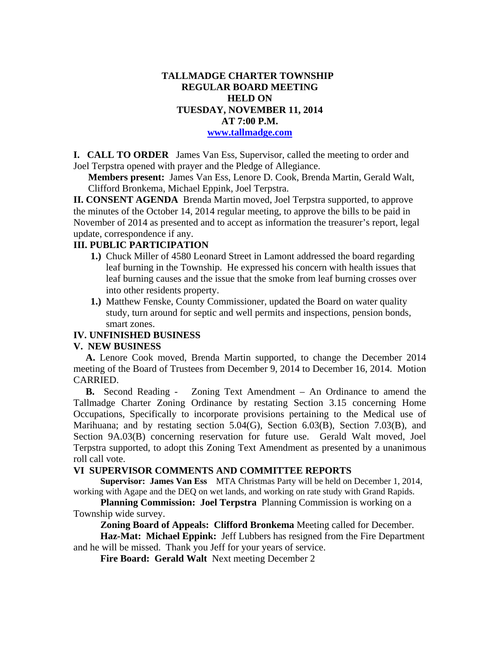## **TALLMADGE CHARTER TOWNSHIP REGULAR BOARD MEETING HELD ON TUESDAY, NOVEMBER 11, 2014 AT 7:00 P.M. www.tallmadge.com**

**I. CALL TO ORDER** James Van Ess, Supervisor, called the meeting to order and Joel Terpstra opened with prayer and the Pledge of Allegiance.

**Members present:** James Van Ess, Lenore D. Cook, Brenda Martin, Gerald Walt, Clifford Bronkema, Michael Eppink, Joel Terpstra.

**II. CONSENT AGENDA** Brenda Martin moved, Joel Terpstra supported, to approve the minutes of the October 14, 2014 regular meeting, to approve the bills to be paid in November of 2014 as presented and to accept as information the treasurer's report, legal update, correspondence if any.

## **III. PUBLIC PARTICIPATION**

- **1.)** Chuck Miller of 4580 Leonard Street in Lamont addressed the board regarding leaf burning in the Township. He expressed his concern with health issues that leaf burning causes and the issue that the smoke from leaf burning crosses over into other residents property.
- **1.)** Matthew Fenske, County Commissioner, updated the Board on water quality study, turn around for septic and well permits and inspections, pension bonds, smart zones.

### **IV. UNFINISHED BUSINESS**

#### **V. NEW BUSINESS**

 **A.** Lenore Cook moved, Brenda Martin supported, to change the December 2014 meeting of the Board of Trustees from December 9, 2014 to December 16, 2014. Motion CARRIED.

 **B.** Second Reading - Zoning Text Amendment – An Ordinance to amend the Tallmadge Charter Zoning Ordinance by restating Section 3.15 concerning Home Occupations, Specifically to incorporate provisions pertaining to the Medical use of Marihuana; and by restating section 5.04(G), Section 6.03(B), Section 7.03(B), and Section 9A.03(B) concerning reservation for future use. Gerald Walt moved, Joel Terpstra supported, to adopt this Zoning Text Amendment as presented by a unanimous roll call vote.

#### **VI SUPERVISOR COMMENTS AND COMMITTEE REPORTS**

**Supervisor: James Van Ess** MTA Christmas Party will be held on December 1, 2014, working with Agape and the DEQ on wet lands, and working on rate study with Grand Rapids.

 **Planning Commission: Joel Terpstra** Planning Commission is working on a Township wide survey.

**Zoning Board of Appeals: Clifford Bronkema** Meeting called for December.

 **Haz-Mat: Michael Eppink:** Jeff Lubbers has resigned from the Fire Department and he will be missed. Thank you Jeff for your years of service.

 **Fire Board: Gerald Walt** Next meeting December 2